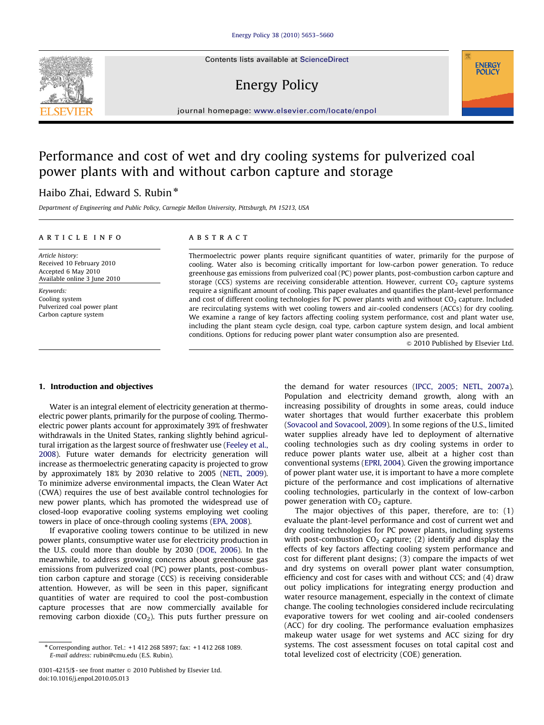Contents lists available at ScienceDirect

# Energy Policy



journal homepage: www.elsevier.com/locate/enpol

# Performance and cost of wet and dry cooling systems for pulverized coal power plants with and without carbon capture and storage

# Haibo Zhai, Edward S. Rubin<sup>\*</sup>

Department of Engineering and Public Policy, Carnegie Mellon University, Pittsburgh, PA 15213, USA

#### article info

Article history: Received 10 February 2010 Accepted 6 May 2010 Available online 3 June 2010

Keywords: Cooling system Pulverized coal power plant Carbon capture system

# ABSTRACT

Thermoelectric power plants require significant quantities of water, primarily for the purpose of cooling. Water also is becoming critically important for low-carbon power generation. To reduce greenhouse gas emissions from pulverized coal (PC) power plants, post-combustion carbon capture and storage (CCS) systems are receiving considerable attention. However, current  $CO<sub>2</sub>$  capture systems require a significant amount of cooling. This paper evaluates and quantifies the plant-level performance and cost of different cooling technologies for PC power plants with and without  $CO<sub>2</sub>$  capture. Included are recirculating systems with wet cooling towers and air-cooled condensers (ACCs) for dry cooling. We examine a range of key factors affecting cooling system performance, cost and plant water use, including the plant steam cycle design, coal type, carbon capture system design, and local ambient conditions. Options for reducing power plant water consumption also are presented.

 $\odot$  2010 Published by Elsevier Ltd.

#### 1. Introduction and objectives

Water is an integral element of electricity generation at thermoelectric power plants, primarily for the purpose of cooling. Thermoelectric power plants account for approximately 39% of freshwater withdrawals in the United States, ranking slightly behind agricultural irrigation as the largest source of freshwater use (Feeley et al., 2008). Future water demands for electricity generation will increase as thermoelectric generating capacity is projected to grow by approximately 18% by 2030 relative to 2005 (NETL, 2009). To minimize adverse environmental impacts, the Clean Water Act (CWA) requires the use of best available control technologies for new power plants, which has promoted the widespread use of closed-loop evaporative cooling systems employing wet cooling towers in place of once-through cooling systems (EPA, 2008).

If evaporative cooling towers continue to be utilized in new power plants, consumptive water use for electricity production in the U.S. could more than double by 2030 (DOE, 2006). In the meanwhile, to address growing concerns about greenhouse gas emissions from pulverized coal (PC) power plants, post-combustion carbon capture and storage (CCS) is receiving considerable attention. However, as will be seen in this paper, significant quantities of water are required to cool the post-combustion capture processes that are now commercially available for removing carbon dioxide ( $CO<sub>2</sub>$ ). This puts further pressure on

the demand for water resources (IPCC, 2005; NETL, 2007a). Population and electricity demand growth, along with an increasing possibility of droughts in some areas, could induce water shortages that would further exacerbate this problem (Sovacool and Sovacool, 2009). In some regions of the U.S., limited water supplies already have led to deployment of alternative cooling technologies such as dry cooling systems in order to reduce power plants water use, albeit at a higher cost than conventional systems (EPRI, 2004). Given the growing importance of power plant water use, it is important to have a more complete picture of the performance and cost implications of alternative cooling technologies, particularly in the context of low-carbon power generation with  $CO<sub>2</sub>$  capture.

The major objectives of this paper, therefore, are to: (1) evaluate the plant-level performance and cost of current wet and dry cooling technologies for PC power plants, including systems with post-combustion  $CO<sub>2</sub>$  capture; (2) identify and display the effects of key factors affecting cooling system performance and cost for different plant designs; (3) compare the impacts of wet and dry systems on overall power plant water consumption, efficiency and cost for cases with and without CCS; and (4) draw out policy implications for integrating energy production and water resource management, especially in the context of climate change. The cooling technologies considered include recirculating evaporative towers for wet cooling and air-cooled condensers (ACC) for dry cooling. The performance evaluation emphasizes makeup water usage for wet systems and ACC sizing for dry systems. The cost assessment focuses on total capital cost and total levelized cost of electricity (COE) generation.

<sup>n</sup> Corresponding author. Tel.: +1 412 268 5897; fax: +1 412 268 1089. E-mail address: rubin@cmu.edu (E.S. Rubin).

<sup>0301-4215/\$ -</sup> see front matter @ 2010 Published by Elsevier Ltd. doi:10.1016/j.enpol.2010.05.013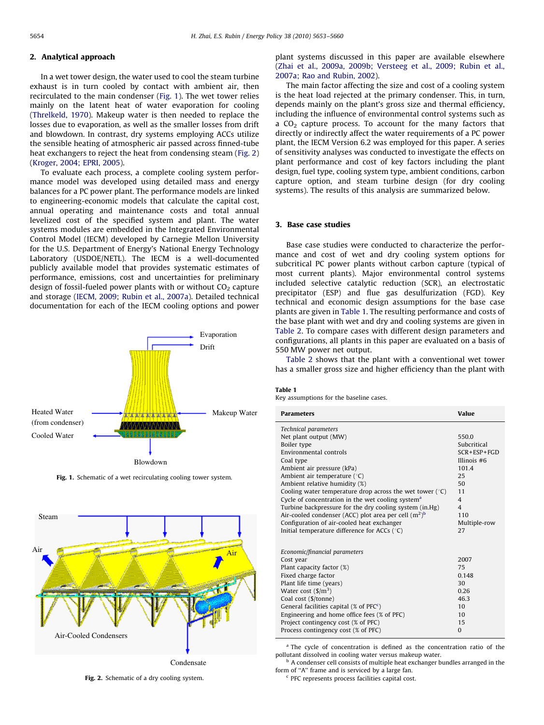# 2. Analytical approach

In a wet tower design, the water used to cool the steam turbine exhaust is in turn cooled by contact with ambient air, then recirculated to the main condenser (Fig. 1). The wet tower relies mainly on the latent heat of water evaporation for cooling (Threlkeld, 1970). Makeup water is then needed to replace the losses due to evaporation, as well as the smaller losses from drift and blowdown. In contrast, dry systems employing ACCs utilize the sensible heating of atmospheric air passed across finned-tube heat exchangers to reject the heat from condensing steam (Fig. 2) (Kroger, 2004; EPRI, 2005).

To evaluate each process, a complete cooling system performance model was developed using detailed mass and energy balances for a PC power plant. The performance models are linked to engineering-economic models that calculate the capital cost, annual operating and maintenance costs and total annual levelized cost of the specified system and plant. The water systems modules are embedded in the Integrated Environmental Control Model (IECM) developed by Carnegie Mellon University for the U.S. Department of Energy's National Energy Technology Laboratory (USDOE/NETL). The IECM is a well-documented publicly available model that provides systematic estimates of performance, emissions, cost and uncertainties for preliminary design of fossil-fueled power plants with or without  $CO<sub>2</sub>$  capture and storage (IECM, 2009; Rubin et al., 2007a). Detailed technical documentation for each of the IECM cooling options and power



Fig. 1. Schematic of a wet recirculating cooling tower system.



Fig. 2. Schematic of a dry cooling system.

plant systems discussed in this paper are available elsewhere (Zhai et al., 2009a, 2009b; Versteeg et al., 2009; Rubin et al., 2007a; Rao and Rubin, 2002).

The main factor affecting the size and cost of a cooling system is the heat load rejected at the primary condenser. This, in turn, depends mainly on the plant's gross size and thermal efficiency, including the influence of environmental control systems such as a  $CO<sub>2</sub>$  capture process. To account for the many factors that directly or indirectly affect the water requirements of a PC power plant, the IECM Version 6.2 was employed for this paper. A series of sensitivity analyses was conducted to investigate the effects on plant performance and cost of key factors including the plant design, fuel type, cooling system type, ambient conditions, carbon capture option, and steam turbine design (for dry cooling systems). The results of this analysis are summarized below.

# 3. Base case studies

Base case studies were conducted to characterize the performance and cost of wet and dry cooling system options for subcritical PC power plants without carbon capture (typical of most current plants). Major environmental control systems included selective catalytic reduction (SCR), an electrostatic precipitator (ESP) and flue gas desulfurization (FGD). Key technical and economic design assumptions for the base case plants are given in Table 1. The resulting performance and costs of the base plant with wet and dry and cooling systems are given in Table 2. To compare cases with different design parameters and configurations, all plants in this paper are evaluated on a basis of 550 MW power net output.

Table 2 shows that the plant with a conventional wet tower has a smaller gross size and higher efficiency than the plant with

Table 1

Key assumptions for the baseline cases.

| <b>Parameters</b>                                             | Value                    |
|---------------------------------------------------------------|--------------------------|
| <b>Technical parameters</b>                                   |                          |
| Net plant output (MW)                                         | 550.0                    |
| Boiler type                                                   | Subcritical              |
| Environmental controls                                        | $SCR + ESP + FGD$        |
| Coal type                                                     | Illinois #6              |
| Ambient air pressure (kPa)                                    | 101.4                    |
| Ambient air temperature $(°C)$                                | 25                       |
| Ambient relative humidity (%)                                 | 50                       |
| Cooling water temperature drop across the wet tower $(°C)$    | 11                       |
| Cycle of concentration in the wet cooling system <sup>a</sup> | $\overline{\mathcal{L}}$ |
| Turbine backpressure for the dry cooling system (in.Hg)       | $\overline{\mathbf{A}}$  |
| Air-cooled condenser (ACC) plot area per cell $(m^2)^b$       | 110                      |
| Configuration of air-cooled heat exchanger                    | Multiple-row             |
| Initial temperature difference for ACCs $(°C)$                | 27                       |
|                                                               |                          |
| Economic/financial parameters                                 |                          |
| Cost year                                                     | 2007                     |
| Plant capacity factor (%)                                     | 75                       |
| Fixed charge factor                                           | 0.148                    |
| Plant life time (years)                                       | 30                       |
| Water cost $(\frac{1}{3})^3$                                  | 0.26                     |
| Coal cost (\$/tonne)                                          | 46.3                     |
| General facilities capital (% of $PFCc$ )                     | 10 <sup>1</sup>          |
| Engineering and home office fees (% of PFC)                   | 10 <sup>1</sup>          |
| Project contingency cost (% of PFC)                           | 15                       |
| Process contingency cost (% of PFC)                           | $\Omega$                 |
|                                                               |                          |

<sup>a</sup> The cycle of concentration is defined as the concentration ratio of the pollutant dissolved in cooling water versus makeup water.

<sup>b</sup> A condenser cell consists of multiple heat exchanger bundles arranged in the form of ''A'' frame and is serviced by a large fan.

<sup>c</sup> PFC represents process facilities capital cost.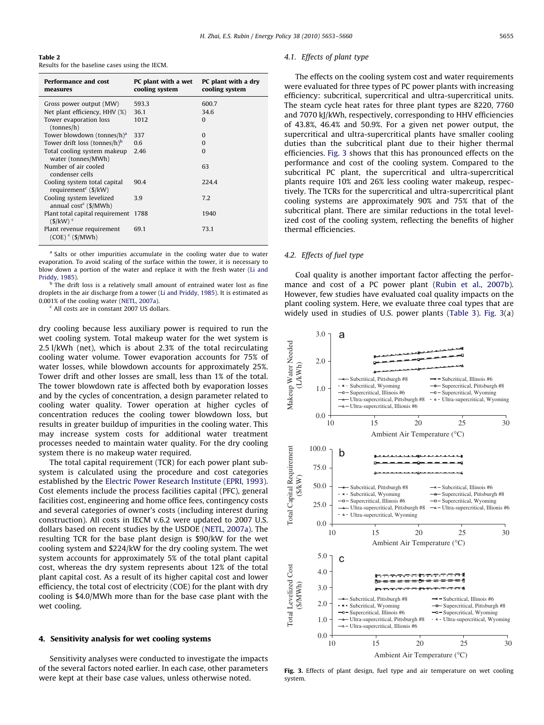| Table 2 |  |                                                |  |  |
|---------|--|------------------------------------------------|--|--|
|         |  | Results for the baseline cases using the IECM. |  |  |

| Performance and cost<br>measures                                                         | PC plant with a wet<br>cooling system | PC plant with a dry<br>cooling system |
|------------------------------------------------------------------------------------------|---------------------------------------|---------------------------------------|
| Gross power output (MW)                                                                  | 593.3                                 | 600.7                                 |
| Net plant efficiency, HHV (%)                                                            | 36.1                                  | 34.6                                  |
| Tower evaporation loss<br>tonnes/h)                                                      | 1012                                  | $\Omega$                              |
| Tower blowdown (tonnes/h) <sup>a</sup>                                                   | 337                                   | $\Omega$                              |
| Tower drift loss (tonnes/h) <sup>b</sup>                                                 | 0.6                                   | $\Omega$                              |
| Total cooling system makeup<br>water (tonnes/MWh)                                        | 2.46                                  | $\Omega$                              |
| Number of air cooled<br>condenser cells                                                  |                                       | 63                                    |
| Cooling system total capital<br>requirement <sup><math>c</math></sup> ( $\frac{s}{k}$ W) | 90.4                                  | 224.4                                 |
| Cooling system levelized<br>annual $cost^c$ (\$/MWh)                                     | 3.9                                   | 7.2                                   |
| Plant total capital requirement<br>$(S/kW)$ <sup>c</sup>                                 | 1788                                  | 1940                                  |
| Plant revenue requirement<br>$(COE)$ <sup>c</sup> (\$/MWh)                               | 691                                   | 73.1                                  |

<sup>a</sup> Salts or other impurities accumulate in the cooling water due to water evaporation. To avoid scaling of the surface within the tower, it is necessary to blow down a portion of the water and replace it with the fresh water (Li and Priddy, 1985).

The drift loss is a relatively small amount of entrained water lost as fine droplets in the air discharge from a tower (Li and Priddy, 1985). It is estimated as 0.001% of the cooling water (NETL, 2007a).

<sup>c</sup> All costs are in constant 2007 US dollars.

dry cooling because less auxiliary power is required to run the wet cooling system. Total makeup water for the wet system is 2.5 l/kWh (net), which is about 2.3% of the total recirculating cooling water volume. Tower evaporation accounts for 75% of water losses, while blowdown accounts for approximately 25%. Tower drift and other losses are small, less than 1% of the total. The tower blowdown rate is affected both by evaporation losses and by the cycles of concentration, a design parameter related to cooling water quality. Tower operation at higher cycles of concentration reduces the cooling tower blowdown loss, but results in greater buildup of impurities in the cooling water. This may increase system costs for additional water treatment processes needed to maintain water quality. For the dry cooling system there is no makeup water required.

The total capital requirement (TCR) for each power plant subsystem is calculated using the procedure and cost categories established by the Electric Power Research Institute (EPRI, 1993). Cost elements include the process facilities capital (PFC), general facilities cost, engineering and home office fees, contingency costs and several categories of owner's costs (including interest during construction). All costs in IECM v.6.2 were updated to 2007 U.S. dollars based on recent studies by the USDOE (NETL, 2007a). The resulting TCR for the base plant design is \$90/kW for the wet cooling system and \$224/kW for the dry cooling system. The wet system accounts for approximately 5% of the total plant capital cost, whereas the dry system represents about 12% of the total plant capital cost. As a result of its higher capital cost and lower efficiency, the total cost of electricity (COE) for the plant with dry cooling is \$4.0/MWh more than for the base case plant with the wet cooling.

## 4. Sensitivity analysis for wet cooling systems

Sensitivity analyses were conducted to investigate the impacts of the several factors noted earlier. In each case, other parameters were kept at their base case values, unless otherwise noted.

## 4.1. Effects of plant type

The effects on the cooling system cost and water requirements were evaluated for three types of PC power plants with increasing efficiency: subcritical, supercritical and ultra-supercritical units. The steam cycle heat rates for three plant types are 8220, 7760 and 7070 kJ/kWh, respectively, corresponding to HHV efficiencies of 43.8%, 46.4% and 50.9%. For a given net power output, the supercritical and ultra-supercritical plants have smaller cooling duties than the subcritical plant due to their higher thermal efficiencies. Fig. 3 shows that this has pronounced effects on the performance and cost of the cooling system. Compared to the subcritical PC plant, the supercritical and ultra-supercritical plants require 10% and 26% less cooling water makeup, respectively. The TCRs for the supercritical and ultra-supercritical plant cooling systems are approximately 90% and 75% that of the subcritical plant. There are similar reductions in the total levelized cost of the cooling system, reflecting the benefits of higher thermal efficiencies.

# 4.2. Effects of fuel type

Coal quality is another important factor affecting the performance and cost of a PC power plant (Rubin et al., 2007b). However, few studies have evaluated coal quality impacts on the plant cooling system. Here, we evaluate three coal types that are widely used in studies of U.S. power plants (Table 3). Fig. 3(a)



Fig. 3. Effects of plant design, fuel type and air temperature on wet cooling system.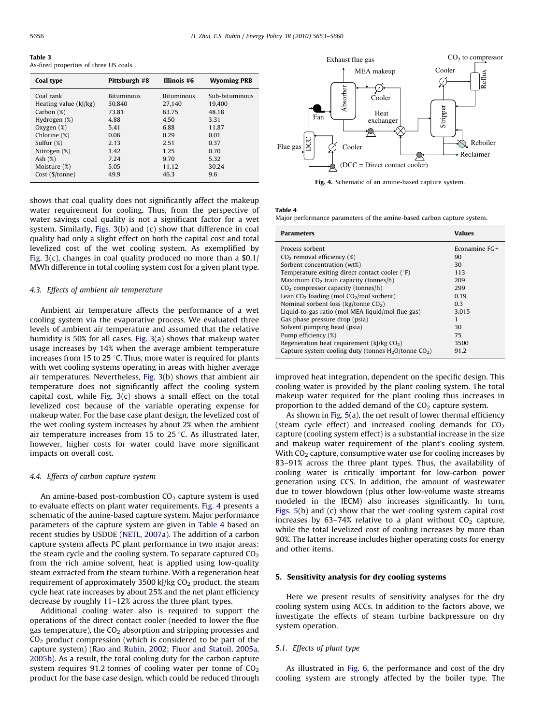Table 3 As-fired properties of three US coals.

| Coal type                | Pittsburgh #8     | Illinois #6       | <b>Wyoming PRB</b> |
|--------------------------|-------------------|-------------------|--------------------|
| Coal rank                | <b>Bituminous</b> | <b>Bituminous</b> | Sub-bituminous     |
| Heating value $(k)/kg$ ) | 30.840            | 27.140            | 19.400             |
| Carbon $(\%)$            | 73.81             | 63.75             | 48.18              |
| Hydrogen (%)             | 4.88              | 4.50              | 3.31               |
| Oxygen $(\%)$            | 5.41              | 6.88              | 11.87              |
| Chlorine (%)             | 0.06              | 0.29              | 0.01               |
| Sulfur $(\%)$            | 2.13              | 2.51              | 0.37               |
| Nitrogen $(\%)$          | 1.42              | 1.25              | 0.70               |
| Ash $(%)$                | 7.24              | 9.70              | 5.32               |
| Moisture (%)             | 5.05              | 11.12             | 30.24              |
| Cost (\$/tonne)          | 49.9              | 46.3              | 9.6                |

shows that coal quality does not significantly affect the makeup water requirement for cooling. Thus, from the perspective of water savings coal quality is not a significant factor for a wet system. Similarly, Figs. 3(b) and (c) show that difference in coal quality had only a slight effect on both the capital cost and total levelized cost of the wet cooling system. As exemplified by Fig. 3(c), changes in coal quality produced no more than a \$0.1/ MWh difference in total cooling system cost for a given plant type.

#### 4.3. Effects of ambient air temperature

Ambient air temperature affects the performance of a wet cooling system via the evaporative process. We evaluated three levels of ambient air temperature and assumed that the relative humidity is 50% for all cases. Fig. 3(a) shows that makeup water usage increases by 14% when the average ambient temperature increases from 15 to 25  $\degree$ C. Thus, more water is required for plants with wet cooling systems operating in areas with higher average air temperatures. Nevertheless, Fig. 3(b) shows that ambient air temperature does not significantly affect the cooling system capital cost, while Fig.  $3(c)$  shows a small effect on the total levelized cost because of the variable operating expense for makeup water. For the base case plant design, the levelized cost of the wet cooling system increases by about 2% when the ambient air temperature increases from 15 to 25  $\degree$ C. As illustrated later, however, higher costs for water could have more significant impacts on overall cost.

#### 4.4. Effects of carbon capture system

An amine-based post-combustion  $CO<sub>2</sub>$  capture system is used to evaluate effects on plant water requirements. Fig. 4 presents a schematic of the amine-based capture system. Major performance parameters of the capture system are given in Table 4 based on recent studies by USDOE (NETL, 2007a). The addition of a carbon capture system affects PC plant performance in two major areas: the steam cycle and the cooling system. To separate captured  $CO<sub>2</sub>$ from the rich amine solvent, heat is applied using low-quality steam extracted from the steam turbine. With a regeneration heat requirement of approximately 3500 kJ/kg  $CO<sub>2</sub>$  product, the steam cycle heat rate increases by about 25% and the net plant efficiency decrease by roughly 11–12% across the three plant types.

Additional cooling water also is required to support the operations of the direct contact cooler (needed to lower the flue gas temperature), the  $CO<sub>2</sub>$  absorption and stripping processes and  $CO<sub>2</sub>$  product compression (which is considered to be part of the capture system) (Rao and Rubin, 2002; Fluor and Statoil, 2005a, 2005b). As a result, the total cooling duty for the carbon capture system requires 91.2 tonnes of cooling water per tonne of  $CO<sub>2</sub>$ product for the base case design, which could be reduced through



Fig. 4. Schematic of an amine-based capture system.

Table 4

Major performance parameters of the amine-based carbon capture system.

| Parameters                                                          | Values        |
|---------------------------------------------------------------------|---------------|
| Process sorbent                                                     | Econamine FG+ |
| $CO2$ removal efficiency (%)                                        | 90            |
| Sorbent concentration (wt%)                                         | 30            |
| Temperature exiting direct contact cooler $(°F)$                    | 113           |
| Maximum $CO2$ train capacity (tonnes/h)                             | 209           |
| $CO2$ compressor capacity (tonnes/h)                                | 299           |
| Lean $CO2$ loading (mol $CO2/mol$ sorbent)                          | 0.19          |
| Nominal sorbent loss ( $kg/tonne CO2$ )                             | 0.3           |
| Liquid-to-gas ratio (mol MEA liquid/mol flue gas)                   | 3.015         |
| Gas phase pressure drop (psia)                                      |               |
| Solvent pumping head (psia)                                         | 30            |
| Pump efficiency (%)                                                 | 75            |
| Regeneration heat requirement $(k)/kg CO2$ )                        | 3500          |
| Capture system cooling duty (tonnes $H_2O$ /tonne CO <sub>2</sub> ) | 91.2          |
|                                                                     |               |

improved heat integration, dependent on the specific design. This cooling water is provided by the plant cooling system. The total makeup water required for the plant cooling thus increases in proportion to the added demand of the  $CO<sub>2</sub>$  capture system.

As shown in Fig. 5(a), the net result of lower thermal efficiency (steam cycle effect) and increased cooling demands for  $CO<sub>2</sub>$ capture (cooling system effect) is a substantial increase in the size and makeup water requirement of the plant's cooling system. With  $CO<sub>2</sub>$  capture, consumptive water use for cooling increases by 83–91% across the three plant types. Thus, the availability of cooling water is critically important for low-carbon power generation using CCS. In addition, the amount of wastewater due to tower blowdown (plus other low-volume waste streams modeled in the IECM) also increases significantly. In turn, Figs. 5(b) and (c) show that the wet cooling system capital cost increases by 63-74% relative to a plant without  $CO<sub>2</sub>$  capture, while the total levelized cost of cooling increases by more than 90%. The latter increase includes higher operating costs for energy and other items.

#### 5. Sensitivity analysis for dry cooling systems

Here we present results of sensitivity analyses for the dry cooling system using ACCs. In addition to the factors above, we investigate the effects of steam turbine backpressure on dry system operation.

# 5.1. Effects of plant type

As illustrated in Fig. 6, the performance and cost of the dry cooling system are strongly affected by the boiler type. The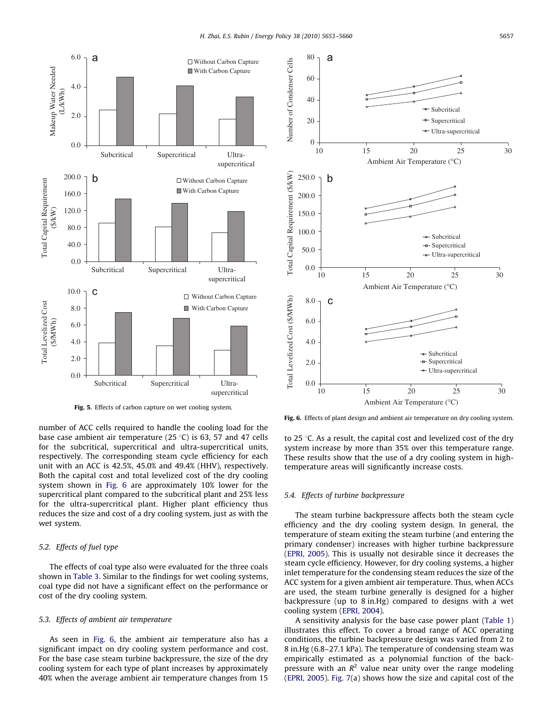

Fig. 5. Effects of carbon capture on wet cooling system.

number of ACC cells required to handle the cooling load for the base case ambient air temperature (25  $\degree$ C) is 63, 57 and 47 cells for the subcritical, supercritical and ultra-supercritical units, respectively. The corresponding steam cycle efficiency for each unit with an ACC is 42.5%, 45.0% and 49.4% (HHV), respectively. Both the capital cost and total levelized cost of the dry cooling system shown in Fig. 6 are approximately 10% lower for the supercritical plant compared to the subcritical plant and 25% less for the ultra-supercritical plant. Higher plant efficiency thus reduces the size and cost of a dry cooling system, just as with the wet system.

## 5.2. Effects of fuel type

The effects of coal type also were evaluated for the three coals shown in Table 3. Similar to the findings for wet cooling systems, coal type did not have a significant effect on the performance or cost of the dry cooling system.

# 5.3. Effects of ambient air temperature

As seen in Fig. 6, the ambient air temperature also has a significant impact on dry cooling system performance and cost. For the base case steam turbine backpressure, the size of the dry cooling system for each type of plant increases by approximately 40% when the average ambient air temperature changes from 15



Fig. 6. Effects of plant design and ambient air temperature on dry cooling system.

to 25  $\degree$ C. As a result, the capital cost and levelized cost of the dry system increase by more than 35% over this temperature range. These results show that the use of a dry cooling system in hightemperature areas will significantly increase costs.

#### 5.4. Effects of turbine backpressure

The steam turbine backpressure affects both the steam cycle efficiency and the dry cooling system design. In general, the temperature of steam exiting the steam turbine (and entering the primary condenser) increases with higher turbine backpressure (EPRI, 2005). This is usually not desirable since it decreases the steam cycle efficiency. However, for dry cooling systems, a higher inlet temperature for the condensing steam reduces the size of the ACC system for a given ambient air temperature. Thus, when ACCs are used, the steam turbine generally is designed for a higher backpressure (up to 8 in.Hg) compared to designs with a wet cooling system (EPRI, 2004).

A sensitivity analysis for the base case power plant (Table 1) illustrates this effect. To cover a broad range of ACC operating conditions, the turbine backpressure design was varied from 2 to 8 in.Hg (6.8–27.1 kPa). The temperature of condensing steam was empirically estimated as a polynomial function of the backpressure with an  $R^2$  value near unity over the range modeling (EPRI, 2005). Fig. 7(a) shows how the size and capital cost of the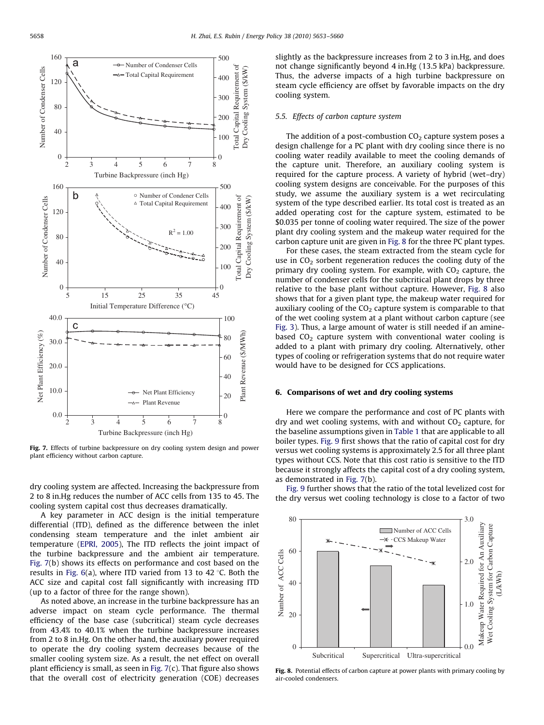

Fig. 7. Effects of turbine backpressure on dry cooling system design and power plant efficiency without carbon capture.

dry cooling system are affected. Increasing the backpressure from 2 to 8 in.Hg reduces the number of ACC cells from 135 to 45. The cooling system capital cost thus decreases dramatically.

A key parameter in ACC design is the initial temperature differential (ITD), defined as the difference between the inlet condensing steam temperature and the inlet ambient air temperature (EPRI, 2005), The ITD reflects the joint impact of the turbine backpressure and the ambient air temperature. Fig. 7(b) shows its effects on performance and cost based on the results in Fig. 6(a), where ITD varied from 13 to 42  $\degree$ C. Both the ACC size and capital cost fall significantly with increasing ITD (up to a factor of three for the range shown).

As noted above, an increase in the turbine backpressure has an adverse impact on steam cycle performance. The thermal efficiency of the base case (subcritical) steam cycle decreases from 43.4% to 40.1% when the turbine backpressure increases from 2 to 8 in.Hg. On the other hand, the auxiliary power required to operate the dry cooling system decreases because of the smaller cooling system size. As a result, the net effect on overall plant efficiency is small, as seen in Fig.  $7(c)$ . That figure also shows that the overall cost of electricity generation (COE) decreases slightly as the backpressure increases from 2 to 3 in.Hg, and does not change significantly beyond 4 in.Hg (13.5 kPa) backpressure. Thus, the adverse impacts of a high turbine backpressure on steam cycle efficiency are offset by favorable impacts on the dry cooling system.

#### 5.5. Effects of carbon capture system

The addition of a post-combustion  $CO<sub>2</sub>$  capture system poses a design challenge for a PC plant with dry cooling since there is no cooling water readily available to meet the cooling demands of the capture unit. Therefore, an auxiliary cooling system is required for the capture process. A variety of hybrid (wet–dry) cooling system designs are conceivable. For the purposes of this study, we assume the auxiliary system is a wet recirculating system of the type described earlier. Its total cost is treated as an added operating cost for the capture system, estimated to be \$0.035 per tonne of cooling water required. The size of the power plant dry cooling system and the makeup water required for the carbon capture unit are given in Fig. 8 for the three PC plant types.

For these cases, the steam extracted from the steam cycle for use in  $CO<sub>2</sub>$  sorbent regeneration reduces the cooling duty of the primary dry cooling system. For example, with  $CO<sub>2</sub>$  capture, the number of condenser cells for the subcritical plant drops by three relative to the base plant without capture. However, Fig. 8 also shows that for a given plant type, the makeup water required for auxiliary cooling of the  $CO<sub>2</sub>$  capture system is comparable to that of the wet cooling system at a plant without carbon capture (see Fig. 3). Thus, a large amount of water is still needed if an aminebased  $CO<sub>2</sub>$  capture system with conventional water cooling is added to a plant with primary dry cooling. Alternatively, other types of cooling or refrigeration systems that do not require water would have to be designed for CCS applications.

#### 6. Comparisons of wet and dry cooling systems

Here we compare the performance and cost of PC plants with dry and wet cooling systems, with and without  $CO<sub>2</sub>$  capture, for the baseline assumptions given in Table 1 that are applicable to all boiler types. Fig. 9 first shows that the ratio of capital cost for dry versus wet cooling systems is approximately 2.5 for all three plant types without CCS. Note that this cost ratio is sensitive to the ITD because it strongly affects the capital cost of a dry cooling system, as demonstrated in Fig. 7(b).

Fig. 9 further shows that the ratio of the total levelized cost for the dry versus wet cooling technology is close to a factor of two



Fig. 8. Potential effects of carbon capture at power plants with primary cooling by air-cooled condensers.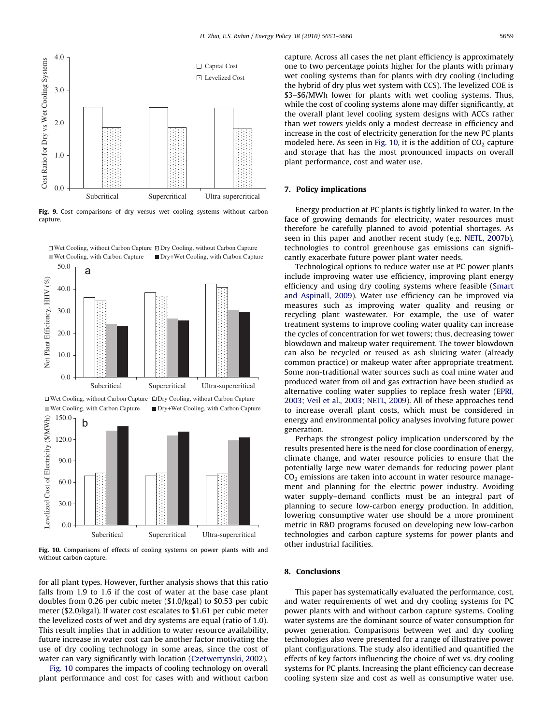

Fig. 9. Cost comparisons of dry versus wet cooling systems without carbon capture.



Fig. 10. Comparisons of effects of cooling systems on power plants with and without carbon capture.

for all plant types. However, further analysis shows that this ratio falls from 1.9 to 1.6 if the cost of water at the base case plant doubles from 0.26 per cubic meter (\$1.0/kgal) to \$0.53 per cubic meter (\$2.0/kgal). If water cost escalates to \$1.61 per cubic meter the levelized costs of wet and dry systems are equal (ratio of 1.0). This result implies that in addition to water resource availability, future increase in water cost can be another factor motivating the use of dry cooling technology in some areas, since the cost of water can vary significantly with location (Czetwertynski, 2002).

Fig. 10 compares the impacts of cooling technology on overall plant performance and cost for cases with and without carbon capture. Across all cases the net plant efficiency is approximately one to two percentage points higher for the plants with primary wet cooling systems than for plants with dry cooling (including the hybrid of dry plus wet system with CCS). The levelized COE is \$3–\$6/MWh lower for plants with wet cooling systems. Thus, while the cost of cooling systems alone may differ significantly, at the overall plant level cooling system designs with ACCs rather than wet towers yields only a modest decrease in efficiency and increase in the cost of electricity generation for the new PC plants modeled here. As seen in Fig. 10, it is the addition of  $CO<sub>2</sub>$  capture and storage that has the most pronounced impacts on overall plant performance, cost and water use.

## 7. Policy implications

Energy production at PC plants is tightly linked to water. In the face of growing demands for electricity, water resources must therefore be carefully planned to avoid potential shortages. As seen in this paper and another recent study (e.g. NETL, 2007b), technologies to control greenhouse gas emissions can significantly exacerbate future power plant water needs.

Technological options to reduce water use at PC power plants include improving water use efficiency, improving plant energy efficiency and using dry cooling systems where feasible (Smart and Aspinall, 2009). Water use efficiency can be improved via measures such as improving water quality and reusing or recycling plant wastewater. For example, the use of water treatment systems to improve cooling water quality can increase the cycles of concentration for wet towers; thus, decreasing tower blowdown and makeup water requirement. The tower blowdown can also be recycled or reused as ash sluicing water (already common practice) or makeup water after appropriate treatment. Some non-traditional water sources such as coal mine water and produced water from oil and gas extraction have been studied as alternative cooling water supplies to replace fresh water (EPRI, 2003; Veil et al., 2003; NETL, 2009). All of these approaches tend to increase overall plant costs, which must be considered in energy and environmental policy analyses involving future power generation.

Perhaps the strongest policy implication underscored by the results presented here is the need for close coordination of energy, climate change, and water resource policies to ensure that the potentially large new water demands for reducing power plant  $CO<sub>2</sub>$  emissions are taken into account in water resource management and planning for the electric power industry. Avoiding water supply–demand conflicts must be an integral part of planning to secure low-carbon energy production. In addition, lowering consumptive water use should be a more prominent metric in R&D programs focused on developing new low-carbon technologies and carbon capture systems for power plants and other industrial facilities.

#### 8. Conclusions

This paper has systematically evaluated the performance, cost, and water requirements of wet and dry cooling systems for PC power plants with and without carbon capture systems. Cooling water systems are the dominant source of water consumption for power generation. Comparisons between wet and dry cooling technologies also were presented for a range of illustrative power plant configurations. The study also identified and quantified the effects of key factors influencing the choice of wet vs. dry cooling systems for PC plants. Increasing the plant efficiency can decrease cooling system size and cost as well as consumptive water use.